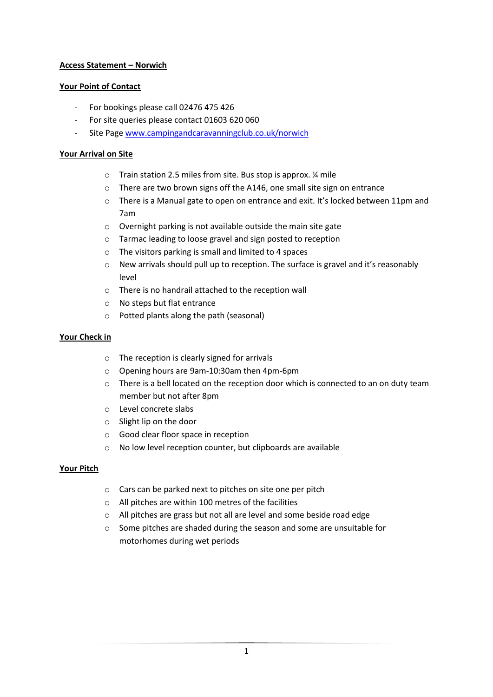# **Access Statement – Norwich**

### **Your Point of Contact**

- For bookings please call 02476 475 426
- For site queries please contact 01603 620 060
- Site Page [www.campingandcaravanningclub.co.uk/norwich](http://www.campingandcaravanningclub.co.uk/norwich)

### **Your Arrival on Site**

- o Train station 2.5 miles from site. Bus stop is approx. ¼ mile
- o There are two brown signs off the A146, one small site sign on entrance
- $\circ$  There is a Manual gate to open on entrance and exit. It's locked between 11pm and 7am
- o Overnight parking is not available outside the main site gate
- o Tarmac leading to loose gravel and sign posted to reception
- o The visitors parking is small and limited to 4 spaces
- o New arrivals should pull up to reception. The surface is gravel and it's reasonably level
- o There is no handrail attached to the reception wall
- o No steps but flat entrance
- o Potted plants along the path (seasonal)

### **Your Check in**

- o The reception is clearly signed for arrivals
- o Opening hours are 9am-10:30am then 4pm-6pm
- $\circ$  There is a bell located on the reception door which is connected to an on duty team member but not after 8pm
- o Level concrete slabs
- o Slight lip on the door
- o Good clear floor space in reception
- o No low level reception counter, but clipboards are available

### **Your Pitch**

- o Cars can be parked next to pitches on site one per pitch
- o All pitches are within 100 metres of the facilities
- o All pitches are grass but not all are level and some beside road edge
- o Some pitches are shaded during the season and some are unsuitable for motorhomes during wet periods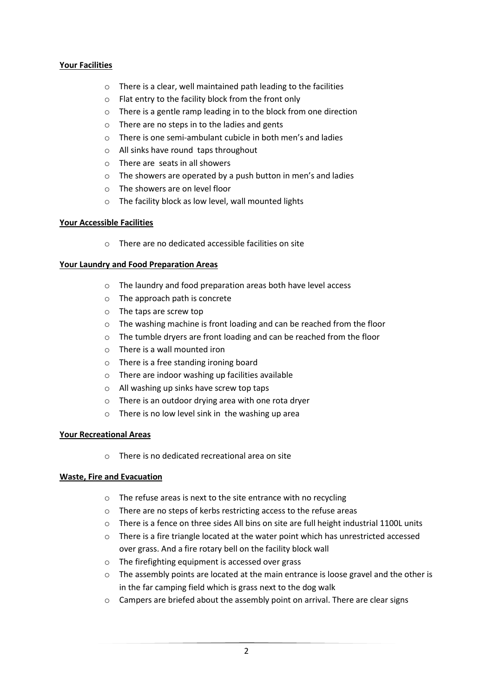# **Your Facilities**

- o There is a clear, well maintained path leading to the facilities
- o Flat entry to the facility block from the front only
- o There is a gentle ramp leading in to the block from one direction
- o There are no steps in to the ladies and gents
- o There is one semi-ambulant cubicle in both men's and ladies
- o All sinks have round taps throughout
- o There are seats in all showers
- o The showers are operated by a push button in men's and ladies
- o The showers are on level floor
- o The facility block as low level, wall mounted lights

# **Your Accessible Facilities**

o There are no dedicated accessible facilities on site

# **Your Laundry and Food Preparation Areas**

- o The laundry and food preparation areas both have level access
- o The approach path is concrete
- o The taps are screw top
- o The washing machine is front loading and can be reached from the floor
- o The tumble dryers are front loading and can be reached from the floor
- o There is a wall mounted iron
- o There is a free standing ironing board
- o There are indoor washing up facilities available
- o All washing up sinks have screw top taps
- o There is an outdoor drying area with one rota dryer
- o There is no low level sink in the washing up area

### **Your Recreational Areas**

o There is no dedicated recreational area on site

### **Waste, Fire and Evacuation**

- o The refuse areas is next to the site entrance with no recycling
- o There are no steps of kerbs restricting access to the refuse areas
- $\circ$  There is a fence on three sides All bins on site are full height industrial 1100L units
- $\circ$  There is a fire triangle located at the water point which has unrestricted accessed over grass. And a fire rotary bell on the facility block wall
- o The firefighting equipment is accessed over grass
- $\circ$  The assembly points are located at the main entrance is loose gravel and the other is in the far camping field which is grass next to the dog walk
- o Campers are briefed about the assembly point on arrival. There are clear signs